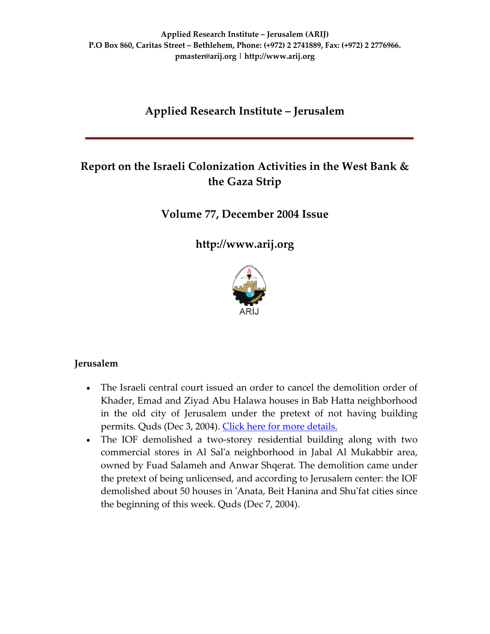# **Applied Research Institute – Jerusalem**

# **Report on the Israeli Colonization Activities in the West Bank & the Gaza Strip**

### **Volume 77, December 2004 Issue**

**[http://www.arij.org](http://www.arij.org/)**



### **Jerusalem**

- The Israeli central court issued an order to cancel the demolition order of Khader, Emad and Ziyad Abu Halawa houses in Bab Hatta neighborhood in the old city of Jerusalem under the pretext of not having building permits. Quds (Dec 3, 2004). Click here for more [details.](http://www.poica.org/editor/case_studies/view.php?recordID=458)
- The IOF demolished a two-storey residential building along with two commercial stores in Al Salʹa neighborhood in Jabal Al Mukabbir area, owned by Fuad Salameh and Anwar Shqerat. The demolition came under the pretext of being unlicensed, and according to Jerusalem center: the IOF demolished about 50 houses in ʹAnata, Beit Hanina and Shuʹfat cities since the beginning of this week. Quds (Dec 7, 2004).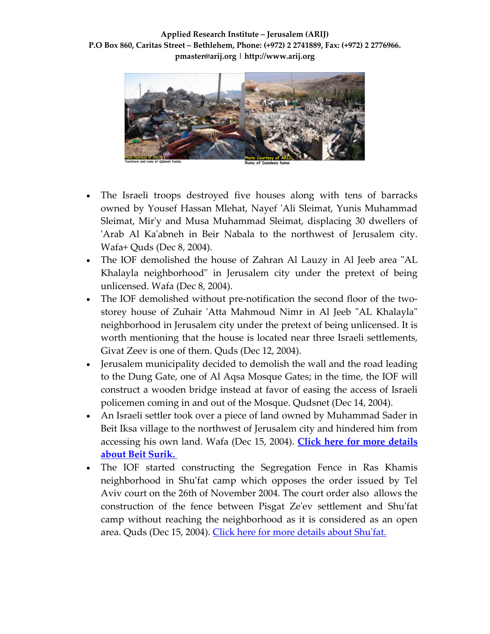**Applied Research Institute – Jerusalem (ARIJ) P.O Box 860, Caritas Street – Bethlehem, Phone: (+972) 2 2741889, Fax: (+972) 2 2776966. pmaster@arij.org | http://www.arij.org**



- The Israeli troops destroyed five houses along with tens of barracks owned by Yousef Hassan Mlehat, Nayef ʹAli Sleimat, Yunis Muhammad Sleimat, Mirʹy and Musa Muhammad Sleimat, displacing 30 dwellers of 'Arab Al Ka'abneh in Beir Nabala to the northwest of Jerusalem city. Wafa+ Quds (Dec 8, 2004).
- The IOF demolished the house of Zahran Al Lauzy in Al Jeeb area "AL Khalayla neighborhood" in Jerusalem city under the pretext of being unlicensed. Wafa (Dec 8, 2004).
- The IOF demolished without pre-notification the second floor of the twostorey house of Zuhair 'Atta Mahmoud Nimr in Al Jeeb "AL Khalayla" neighborhood in Jerusalem city under the pretext of being unlicensed. It is worth mentioning that the house is located near three Israeli settlements, Givat Zeev is one of them. Quds (Dec 12, 2004).
- Jerusalem municipality decided to demolish the wall and the road leading to the Dung Gate, one of Al Aqsa Mosque Gates; in the time, the IOF will construct a wooden bridge instead at favor of easing the access of Israeli policemen coming in and out of the Mosque. Qudsnet (Dec 14, 2004).
- An Israeli settler took over a piece of land owned by Muhammad Sader in Beit Iksa village to the northwest of Jerusalem city and hindered him from accessing his own land. Wafa (Dec 15, 2004). **Click here for more [details](http://www.poica.org/editor/case_studies/view.php?recordID=463) about Beit [Surik.](http://www.poica.org/editor/case_studies/view.php?recordID=463)**
- The IOF started constructing the Segregation Fence in Ras Khamis neighborhood in Shuʹfat camp which opposes the order issued by Tel Aviv court on the 26th of November 2004. The court order also allows the construction of the fence between Pisgat Zeʹev settlement and Shuʹfat camp without reaching the neighborhood as it is considered as an open area. Quds (Dec 15, 2004). Click here for more [details](http://www.poica.org/editor/case_studies/view.php?recordID=427) about Shu'fat.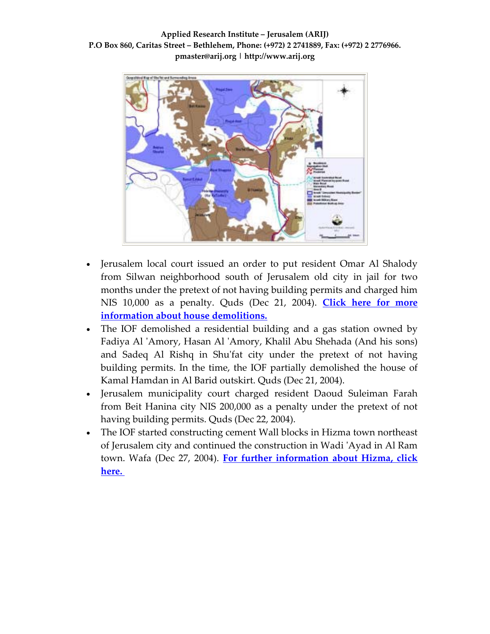

- Jerusalem local court issued an order to put resident Omar Al Shalody from Silwan neighborhood south of Jerusalem old city in jail for two months under the pretext of not having building permits and charged him NIS 10,000 as a penalty. Quds (Dec 21, 2004). **[Click](http://www.poica.org/editor/case_studies/view.php?recordID=442) here for more information about house [demolitions.](http://www.poica.org/editor/case_studies/view.php?recordID=442)**
- The IOF demolished a residential building and a gas station owned by Fadiya Al ʹAmory, Hasan Al ʹAmory, Khalil Abu Shehada (And his sons) and Sadeq Al Rishq in Shu'fat city under the pretext of not having building permits. In the time, the IOF partially demolished the house of Kamal Hamdan in Al Barid outskirt. Quds (Dec 21, 2004).
- Jerusalem municipality court charged resident Daoud Suleiman Farah from Beit Hanina city NIS 200,000 as a penalty under the pretext of not having building permits. Quds (Dec 22, 2004).
- The IOF started constructing cement Wall blocks in Hizma town northeast of Jerusalem city and continued the construction in Wadi ʹAyad in Al Ram town. Wafa (Dec 27, 2004). **For further [information](http://www.poica.org/editor/case_studies/view.php?recordID=432) about Hizma, click [here.](http://www.poica.org/editor/case_studies/view.php?recordID=432)**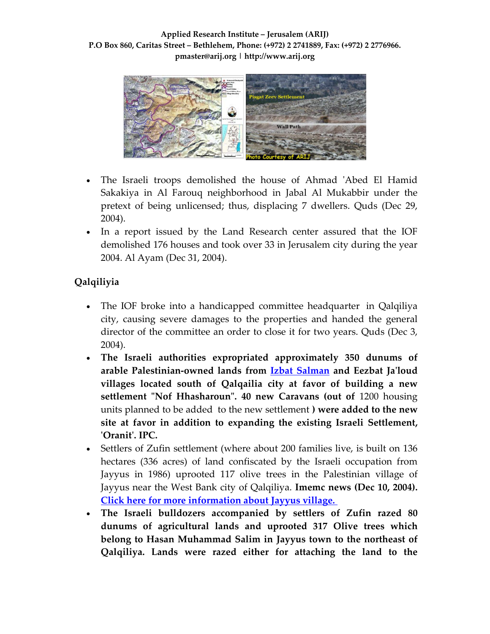**Applied Research Institute – Jerusalem (ARIJ) P.O Box 860, Caritas Street – Bethlehem, Phone: (+972) 2 2741889, Fax: (+972) 2 2776966. pmaster@arij.org | http://www.arij.org**



- The Israeli troops demolished the house of Ahmad ʹAbed El Hamid Sakakiya in Al Farouq neighborhood in Jabal Al Mukabbir under the pretext of being unlicensed; thus, displacing 7 dwellers. Quds (Dec 29, 2004).
- In a report issued by the Land Research center assured that the IOF demolished 176 houses and took over 33 in Jerusalem city during the year 2004. Al Ayam (Dec 31, 2004).

# **Qalqiliyia**

- The IOF broke into a handicapped committee headquarter in Qalqiliya city, causing severe damages to the properties and handed the general director of the committee an order to close it for two years. Quds (Dec 3, 2004).
- **The Israeli authorities expropriated approximately 350 dunums of arable Palestinian‐owned lands from Izbat [Salman](http://www.poica.org/editor/case_studies/view.php?recordID=435) and Eezbat Jaʹloud villages located south of Qalqailia city at favor of building a new settlement ʺNof Hhasharounʺ. 40 new Caravans (out of** 1200 housing units planned to be added to the new settlement **) were added to the new site at favor in addition to expanding the existing Israeli Settlement, ʹOranitʹ. IPC.**
- Settlers of Zufin settlement (where about 200 families live, is built on 136 hectares (336 acres) of land confiscated by the Israeli occupation from Jayyus in 1986) uprooted 117 olive trees in the Palestinian village of Jayyus near the West Bank city of Qalqiliya. **Imemc news (Dec 10, 2004). Click here for more [information](http://www.poica.org/editor/case_studies/view.php?recordID=319) about Jayyus village.**
- **The Israeli bulldozers accompanied by settlers of Zufin razed 80 dunums of agricultural lands and uprooted 317 Olive trees which belong to Hasan Muhammad Salim in Jayyus town to the northeast of Qalqiliya. Lands were razed either for attaching the land to the**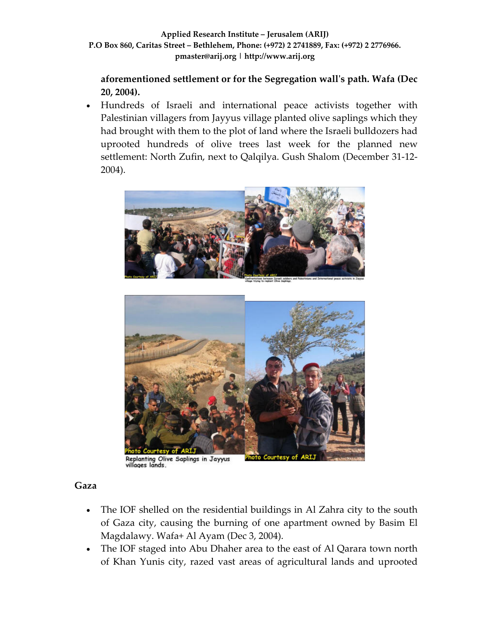**aforementioned settlement or for the Segregation wallʹs path. Wafa (Dec 20, 2004).** 

• Hundreds of Israeli and international peace activists together with Palestinian villagers from Jayyus village planted olive saplings which they had brought with them to the plot of land where the Israeli bulldozers had uprooted hundreds of olive trees last week for the planned new settlement: North Zufin, next to Qalqilya. Gush Shalom (December 31‐12‐ 2004).





Replanting Olive Saplings in Jayyus<br>villages lands.

### **Gaza**

- The IOF shelled on the residential buildings in Al Zahra city to the south of Gaza city, causing the burning of one apartment owned by Basim El Magdalawy. Wafa+ Al Ayam (Dec 3, 2004).
- The IOF staged into Abu Dhaher area to the east of Al Qarara town north of Khan Yunis city, razed vast areas of agricultural lands and uprooted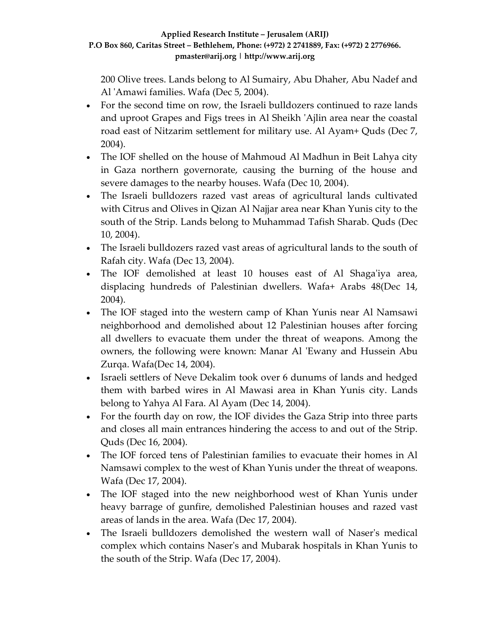200 Olive trees. Lands belong to Al Sumairy, Abu Dhaher, Abu Nadef and Al 'Amawi families. Wafa (Dec 5, 2004).

- For the second time on row, the Israeli bulldozers continued to raze lands and uproot Grapes and Figs trees in Al Sheikh ʹAjlin area near the coastal road east of Nitzarim settlement for military use. Al Ayam+ Quds (Dec 7, 2004).
- The IOF shelled on the house of Mahmoud Al Madhun in Beit Lahya city in Gaza northern governorate, causing the burning of the house and severe damages to the nearby houses. Wafa (Dec 10, 2004).
- The Israeli bulldozers razed vast areas of agricultural lands cultivated with Citrus and Olives in Qizan Al Najjar area near Khan Yunis city to the south of the Strip. Lands belong to Muhammad Tafish Sharab. Quds (Dec 10, 2004).
- The Israeli bulldozers razed vast areas of agricultural lands to the south of Rafah city. Wafa (Dec 13, 2004).
- The IOF demolished at least 10 houses east of Al Shaga'iya area, displacing hundreds of Palestinian dwellers. Wafa+ Arabs 48(Dec 14, 2004).
- The IOF staged into the western camp of Khan Yunis near Al Namsawi neighborhood and demolished about 12 Palestinian houses after forcing all dwellers to evacuate them under the threat of weapons. Among the owners, the following were known: Manar Al 'Ewany and Hussein Abu Zurqa. Wafa(Dec 14, 2004).
- Israeli settlers of Neve Dekalim took over 6 dunums of lands and hedged them with barbed wires in Al Mawasi area in Khan Yunis city. Lands belong to Yahya Al Fara. Al Ayam (Dec 14, 2004).
- For the fourth day on row, the IOF divides the Gaza Strip into three parts and closes all main entrances hindering the access to and out of the Strip. Quds (Dec 16, 2004).
- The IOF forced tens of Palestinian families to evacuate their homes in Al Namsawi complex to the west of Khan Yunis under the threat of weapons. Wafa (Dec 17, 2004).
- The IOF staged into the new neighborhood west of Khan Yunis under heavy barrage of gunfire, demolished Palestinian houses and razed vast areas of lands in the area. Wafa (Dec 17, 2004).
- The Israeli bulldozers demolished the western wall of Naser's medical complex which contains Naserʹs and Mubarak hospitals in Khan Yunis to the south of the Strip. Wafa (Dec 17, 2004).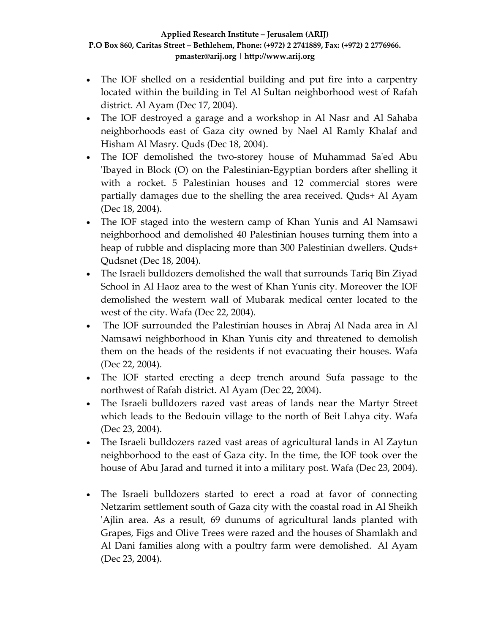- The IOF shelled on a residential building and put fire into a carpentry located within the building in Tel Al Sultan neighborhood west of Rafah district. Al Ayam (Dec 17, 2004).
- The IOF destroyed a garage and a workshop in Al Nasr and Al Sahaba neighborhoods east of Gaza city owned by Nael Al Ramly Khalaf and Hisham Al Masry. Quds (Dec 18, 2004).
- The IOF demolished the two-storey house of Muhammad Sa'ed Abu ʹIbayed in Block (O) on the Palestinian‐Egyptian borders after shelling it with a rocket. 5 Palestinian houses and 12 commercial stores were partially damages due to the shelling the area received. Quds+ Al Ayam (Dec 18, 2004).
- The IOF staged into the western camp of Khan Yunis and Al Namsawi neighborhood and demolished 40 Palestinian houses turning them into a heap of rubble and displacing more than 300 Palestinian dwellers. Quds+ Qudsnet (Dec 18, 2004).
- The Israeli bulldozers demolished the wall that surrounds Tariq Bin Ziyad School in Al Haoz area to the west of Khan Yunis city. Moreover the IOF demolished the western wall of Mubarak medical center located to the west of the city. Wafa (Dec 22, 2004).
- The IOF surrounded the Palestinian houses in Abraj Al Nada area in Al Namsawi neighborhood in Khan Yunis city and threatened to demolish them on the heads of the residents if not evacuating their houses. Wafa (Dec 22, 2004).
- The IOF started erecting a deep trench around Sufa passage to the northwest of Rafah district. Al Ayam (Dec 22, 2004).
- The Israeli bulldozers razed vast areas of lands near the Martyr Street which leads to the Bedouin village to the north of Beit Lahya city. Wafa (Dec 23, 2004).
- The Israeli bulldozers razed vast areas of agricultural lands in Al Zaytun neighborhood to the east of Gaza city. In the time, the IOF took over the house of Abu Jarad and turned it into a military post. Wafa (Dec 23, 2004).
- The Israeli bulldozers started to erect a road at favor of connecting Netzarim settlement south of Gaza city with the coastal road in Al Sheikh ʹAjlin area. As a result, 69 dunums of agricultural lands planted with Grapes, Figs and Olive Trees were razed and the houses of Shamlakh and Al Dani families along with a poultry farm were demolished. Al Ayam (Dec 23, 2004).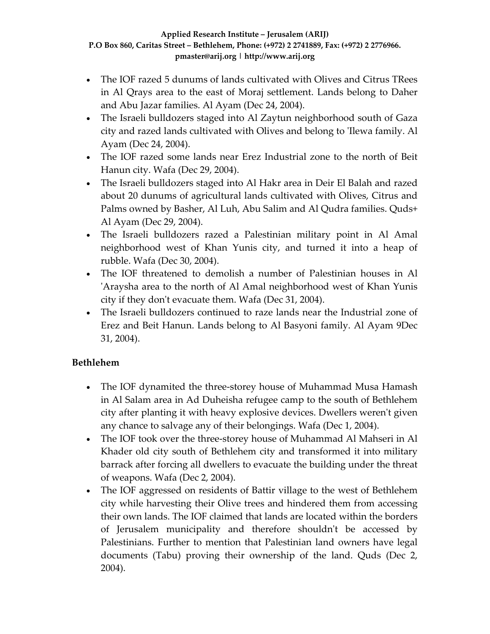- The IOF razed 5 dunums of lands cultivated with Olives and Citrus TRees in Al Qrays area to the east of Moraj settlement. Lands belong to Daher and Abu Jazar families. Al Ayam (Dec 24, 2004).
- The Israeli bulldozers staged into Al Zaytun neighborhood south of Gaza city and razed lands cultivated with Olives and belong to ʹIlewa family. Al Ayam (Dec 24, 2004).
- The IOF razed some lands near Erez Industrial zone to the north of Beit Hanun city. Wafa (Dec 29, 2004).
- The Israeli bulldozers staged into Al Hakr area in Deir El Balah and razed about 20 dunums of agricultural lands cultivated with Olives, Citrus and Palms owned by Basher, Al Luh, Abu Salim and Al Qudra families. Quds+ Al Ayam (Dec 29, 2004).
- The Israeli bulldozers razed a Palestinian military point in Al Amal neighborhood west of Khan Yunis city, and turned it into a heap of rubble. Wafa (Dec 30, 2004).
- The IOF threatened to demolish a number of Palestinian houses in Al ʹAraysha area to the north of Al Amal neighborhood west of Khan Yunis city if they don't evacuate them. Wafa (Dec 31, 2004).
- The Israeli bulldozers continued to raze lands near the Industrial zone of Erez and Beit Hanun. Lands belong to Al Basyoni family. Al Ayam 9Dec 31, 2004).

## **Bethlehem**

- The IOF dynamited the three-storey house of Muhammad Musa Hamash in Al Salam area in Ad Duheisha refugee camp to the south of Bethlehem city after planting it with heavy explosive devices. Dwellers werenʹt given any chance to salvage any of their belongings. Wafa (Dec 1, 2004).
- The IOF took over the three-storey house of Muhammad Al Mahseri in Al Khader old city south of Bethlehem city and transformed it into military barrack after forcing all dwellers to evacuate the building under the threat of weapons. Wafa (Dec 2, 2004).
- The IOF aggressed on residents of Battir village to the west of Bethlehem city while harvesting their Olive trees and hindered them from accessing their own lands. The IOF claimed that lands are located within the borders of Jerusalem municipality and therefore shouldn't be accessed by Palestinians. Further to mention that Palestinian land owners have legal documents (Tabu) proving their ownership of the land. Quds (Dec 2, 2004).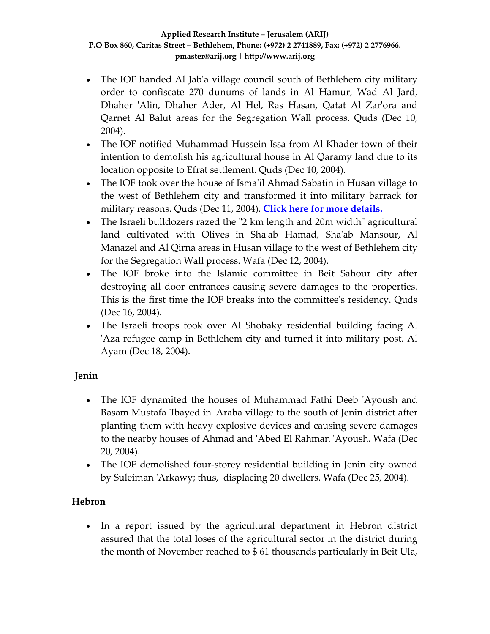- The IOF handed Al Jab'a village council south of Bethlehem city military order to confiscate 270 dunums of lands in Al Hamur, Wad Al Jard, Dhaher 'Alin, Dhaher Ader, Al Hel, Ras Hasan, Qatat Al Zar'ora and Qarnet Al Balut areas for the Segregation Wall process. Quds (Dec 10, 2004).
- The IOF notified Muhammad Hussein Issa from Al Khader town of their intention to demolish his agricultural house in Al Qaramy land due to its location opposite to Efrat settlement. Quds (Dec 10, 2004).
- The IOF took over the house of Isma'il Ahmad Sabatin in Husan village to the west of Bethlehem city and transformed it into military barrack for military reasons. Quds (Dec 11, 2004). **Click here for more [details.](http://www.poica.org/casestudies/Husan%205-04-04/index.htm)**
- The Israeli bulldozers razed the "2 km length and 20m width" agricultural land cultivated with Olives in Shaʹab Hamad, Shaʹab Mansour, Al Manazel and Al Qirna areas in Husan village to the west of Bethlehem city for the Segregation Wall process. Wafa (Dec 12, 2004).
- The IOF broke into the Islamic committee in Beit Sahour city after destroying all door entrances causing severe damages to the properties. This is the first time the IOF breaks into the committeeʹs residency. Quds (Dec 16, 2004).
- The Israeli troops took over Al Shobaky residential building facing Al 'Aza refugee camp in Bethlehem city and turned it into military post. Al Ayam (Dec 18, 2004).

### **Jenin**

- The IOF dynamited the houses of Muhammad Fathi Deeb 'Ayoush and Basam Mustafa ʹIbayed in ʹAraba village to the south of Jenin district after planting them with heavy explosive devices and causing severe damages to the nearby houses of Ahmad and ʹAbed El Rahman ʹAyoush. Wafa (Dec 20, 2004).
- The IOF demolished four-storey residential building in Jenin city owned by Suleiman ʹArkawy; thus, displacing 20 dwellers. Wafa (Dec 25, 2004).

### **Hebron**

• In a report issued by the agricultural department in Hebron district assured that the total loses of the agricultural sector in the district during the month of November reached to \$ 61 thousands particularly in Beit Ula,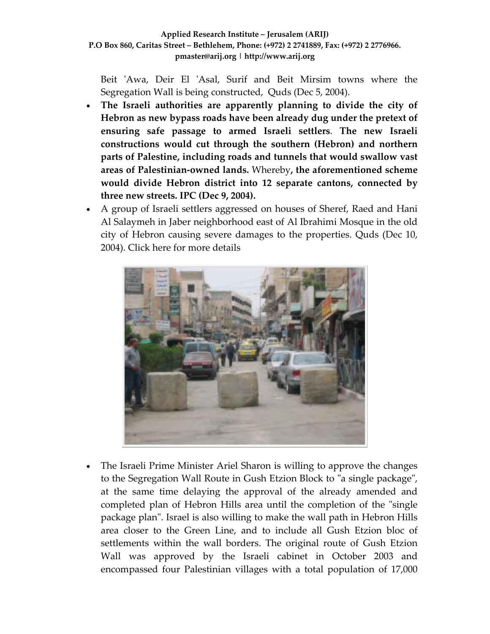Beit 'Awa, Deir El 'Asal, Surif and Beit Mirsim towns where the Segregation Wall is being constructed, Quds (Dec 5, 2004).

- **The Israeli authorities are apparently planning to divide the city of Hebron as new bypass roads have been already dug under the pretext of ensuring safe passage to armed Israeli settlers**. **The new Israeli constructions would cut through the southern (Hebron) and northern parts of Palestine, including roads and tunnels that would swallow vast areas of Palestinian‐owned lands.** Whereby**, the aforementioned scheme would divide Hebron district into 12 separate cantons, connected by three new streets. IPC (Dec 9, 2004).**
- A group of Israeli settlers aggressed on houses of Sheref, Raed and Hani Al Salaymeh in Jaber neighborhood east of Al Ibrahimi Mosque in the old city of Hebron causing severe damages to the properties. Quds (Dec 10, 2004). Click here for more details



• The Israeli Prime Minister Ariel Sharon is willing to approve the changes to the Segregation Wall Route in Gush Etzion Block to "a single package", at the same time delaying the approval of the already amended and completed plan of Hebron Hills area until the completion of the "single package planʺ. Israel is also willing to make the wall path in Hebron Hills area closer to the Green Line, and to include all Gush Etzion bloc of settlements within the wall borders. The original route of Gush Etzion Wall was approved by the Israeli cabinet in October 2003 and encompassed four Palestinian villages with a total population of 17,000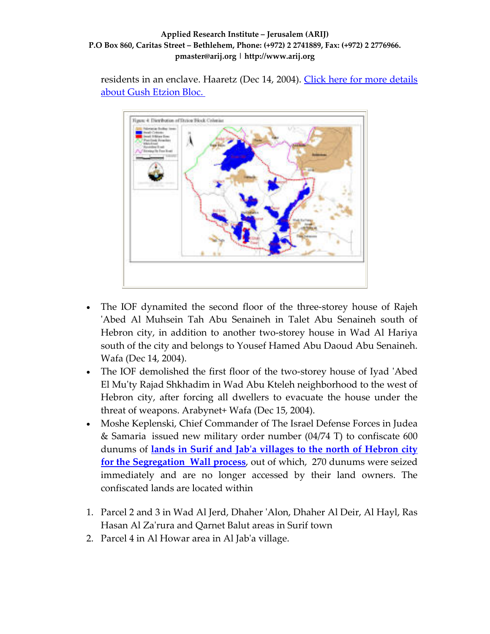residents in an enclave. Haaretz (Dec 14, 2004). Click here for more [details](http://www.poica.org/editor/case_studies/view.php?recordID=439) about Gush [Etzion](http://www.poica.org/editor/case_studies/view.php?recordID=439) Bloc.



- The IOF dynamited the second floor of the three‐storey house of Rajeh ʹAbed Al Muhsein Tah Abu Senaineh in Talet Abu Senaineh south of Hebron city, in addition to another two-storey house in Wad Al Hariya south of the city and belongs to Yousef Hamed Abu Daoud Abu Senaineh. Wafa (Dec 14, 2004).
- The IOF demolished the first floor of the two-storey house of Iyad 'Abed El Muʹty Rajad Shkhadim in Wad Abu Kteleh neighborhood to the west of Hebron city, after forcing all dwellers to evacuate the house under the threat of weapons. Arabynet+ Wafa (Dec 15, 2004).
- Moshe Keplenski, Chief Commander of The Israel Defense Forces in Judea & Samaria issued new military order number (04/74 T) to confiscate 600 dunums of **lands in Surif and Jabʹa [villages](http://www.poica.org/editor/case_studies/view.php?recordID=469) to the north of Hebron city for the [Segregation](http://www.poica.org/editor/case_studies/view.php?recordID=469) Wall process**, out of which, 270 dunums were seized immediately and are no longer accessed by their land owners. The confiscated lands are located within
- 1. Parcel 2 and 3 in Wad Al Jerd, Dhaher ʹAlon, Dhaher Al Deir, Al Hayl, Ras Hasan Al Zaʹrura and Qarnet Balut areas in Surif town
- 2. Parcel 4 in Al Howar area in Al Jabʹa village.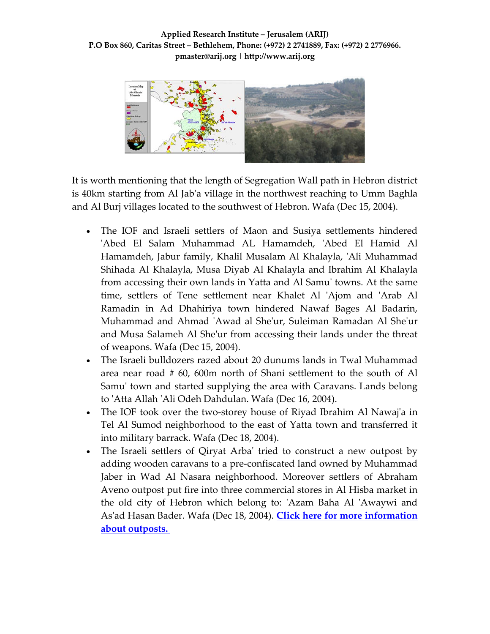

It is worth mentioning that the length of Segregation Wall path in Hebron district is 40km starting from Al Jabʹa village in the northwest reaching to Umm Baghla and Al Burj villages located to the southwest of Hebron. Wafa (Dec 15, 2004).

- The IOF and Israeli settlers of Maon and Susiya settlements hindered ʹAbed El Salam Muhammad AL Hamamdeh, ʹAbed El Hamid Al Hamamdeh, Jabur family, Khalil Musalam Al Khalayla, 'Ali Muhammad Shihada Al Khalayla, Musa Diyab Al Khalayla and Ibrahim Al Khalayla from accessing their own lands in Yatta and Al Samuʹ towns. At the same time, settlers of Tene settlement near Khalet Al 'Ajom and 'Arab Al Ramadin in Ad Dhahiriya town hindered Nawaf Bages Al Badarin, Muhammad and Ahmad ʹAwad al Sheʹur, Suleiman Ramadan Al Sheʹur and Musa Salameh Al Sheʹur from accessing their lands under the threat of weapons. Wafa (Dec 15, 2004).
- The Israeli bulldozers razed about 20 dunums lands in Twal Muhammad area near road # 60, 600m north of Shani settlement to the south of Al Samu' town and started supplying the area with Caravans. Lands belong to ʹAtta Allah ʹAli Odeh Dahdulan. Wafa (Dec 16, 2004).
- The IOF took over the two-storey house of Riyad Ibrahim Al Nawaj'a in Tel Al Sumod neighborhood to the east of Yatta town and transferred it into military barrack. Wafa (Dec 18, 2004).
- The Israeli settlers of Qiryat Arba' tried to construct a new outpost by adding wooden caravans to a pre‐confiscated land owned by Muhammad Jaber in Wad Al Nasara neighborhood. Moreover settlers of Abraham Aveno outpost put fire into three commercial stores in Al Hisba market in the old city of Hebron which belong to: 'Azam Baha Al 'Awaywi and Asʹad Hasan Bader. Wafa (Dec 18, 2004). **Click here for more [information](http://www.poica.org/editor/case_studies/view.php?recordID=472) about [outposts.](http://www.poica.org/editor/case_studies/view.php?recordID=472)**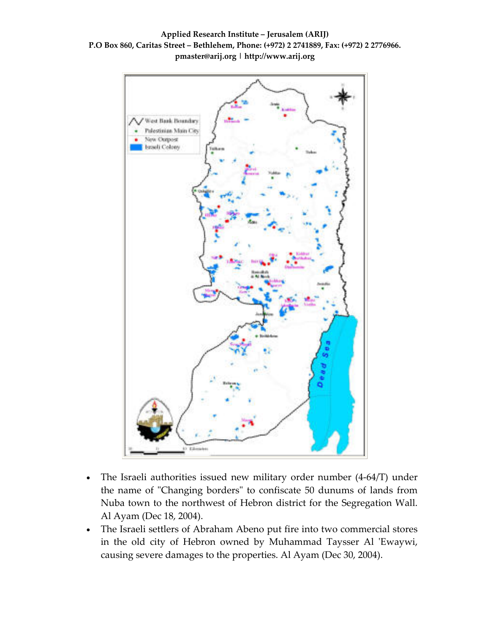**Applied Research Institute – Jerusalem (ARIJ) P.O Box 860, Caritas Street – Bethlehem, Phone: (+972) 2 2741889, Fax: (+972) 2 2776966. pmaster@arij.org | http://www.arij.org**



- The Israeli authorities issued new military order number (4-64/T) under the name of "Changing borders" to confiscate 50 dunums of lands from Nuba town to the northwest of Hebron district for the Segregation Wall. Al Ayam (Dec 18, 2004).
- The Israeli settlers of Abraham Abeno put fire into two commercial stores in the old city of Hebron owned by Muhammad Taysser Al 'Ewaywi, causing severe damages to the properties. Al Ayam (Dec 30, 2004).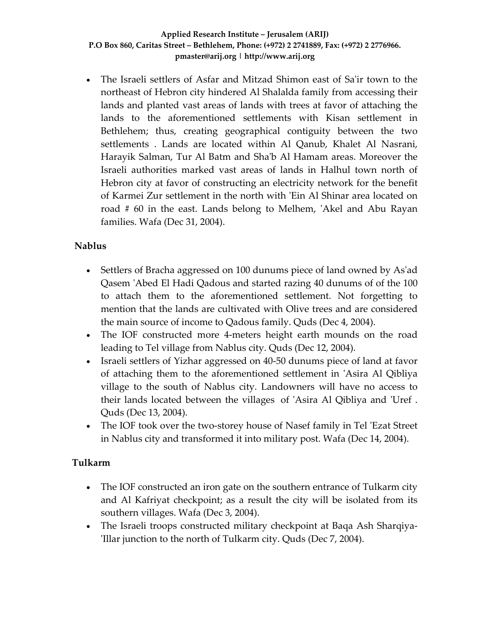• The Israeli settlers of Asfar and Mitzad Shimon east of Saʹir town to the northeast of Hebron city hindered Al Shalalda family from accessing their lands and planted vast areas of lands with trees at favor of attaching the lands to the aforementioned settlements with Kisan settlement in Bethlehem; thus, creating geographical contiguity between the two settlements . Lands are located within Al Qanub, Khalet Al Nasrani, Harayik Salman, Tur Al Batm and Shaʹb Al Hamam areas. Moreover the Israeli authorities marked vast areas of lands in Halhul town north of Hebron city at favor of constructing an electricity network for the benefit of Karmei Zur settlement in the north with ʹEin Al Shinar area located on road # 60 in the east. Lands belong to Melhem, 'Akel and Abu Rayan families. Wafa (Dec 31, 2004).

### **Nablus**

- Settlers of Bracha aggressed on 100 dunums piece of land owned by As'ad Qasem ʹAbed El Hadi Qadous and started razing 40 dunums of of the 100 to attach them to the aforementioned settlement. Not forgetting to mention that the lands are cultivated with Olive trees and are considered the main source of income to Qadous family. Quds (Dec 4, 2004).
- The IOF constructed more 4-meters height earth mounds on the road leading to Tel village from Nablus city. Quds (Dec 12, 2004).
- Israeli settlers of Yizhar aggressed on 40-50 dunums piece of land at favor of attaching them to the aforementioned settlement in ʹAsira Al Qibliya village to the south of Nablus city. Landowners will have no access to their lands located between the villages of ʹAsira Al Qibliya and ʹUref . Quds (Dec 13, 2004).
- The IOF took over the two-storey house of Nasef family in Tel 'Ezat Street' in Nablus city and transformed it into military post. Wafa (Dec 14, 2004).

### **Tulkarm**

- The IOF constructed an iron gate on the southern entrance of Tulkarm city and Al Kafriyat checkpoint; as a result the city will be isolated from its southern villages. Wafa (Dec 3, 2004).
- The Israeli troops constructed military checkpoint at Baqa Ash Sharqiya-ʹIllar junction to the north of Tulkarm city. Quds (Dec 7, 2004).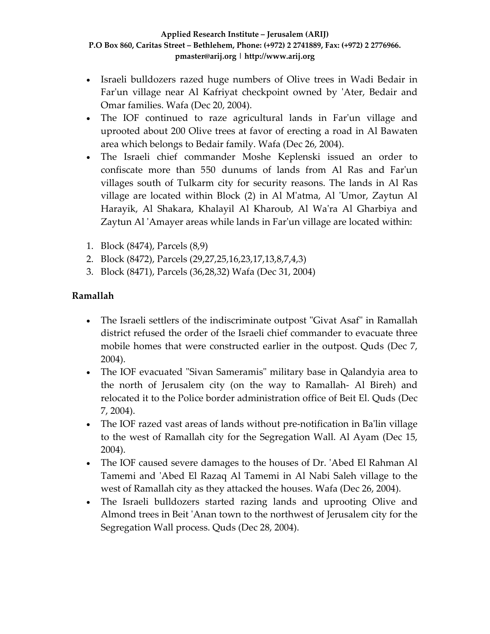- Israeli bulldozers razed huge numbers of Olive trees in Wadi Bedair in Far'un village near Al Kafriyat checkpoint owned by 'Ater, Bedair and Omar families. Wafa (Dec 20, 2004).
- The IOF continued to raze agricultural lands in Far'un village and uprooted about 200 Olive trees at favor of erecting a road in Al Bawaten area which belongs to Bedair family. Wafa (Dec 26, 2004).
- The Israeli chief commander Moshe Keplenski issued an order to confiscate more than 550 dunums of lands from Al Ras and Farʹun villages south of Tulkarm city for security reasons. The lands in Al Ras village are located within Block (2) in Al Mʹatma, Al ʹUmor, Zaytun Al Harayik, Al Shakara, Khalayil Al Kharoub, Al Waʹra Al Gharbiya and Zaytun Al ʹAmayer areas while lands in Farʹun village are located within:
- 1. Block (8474), Parcels (8,9)
- 2. Block (8472), Parcels (29,27,25,16,23,17,13,8,7,4,3)
- 3. Block (8471), Parcels (36,28,32) Wafa (Dec 31, 2004)

### **Ramallah**

- The Israeli settlers of the indiscriminate outpost "Givat Asaf" in Ramallah district refused the order of the Israeli chief commander to evacuate three mobile homes that were constructed earlier in the outpost. Quds (Dec 7, 2004).
- The IOF evacuated "Sivan Sameramis" military base in Qalandyia area to the north of Jerusalem city (on the way to Ramallah‐ Al Bireh) and relocated it to the Police border administration office of Beit El. Quds (Dec 7, 2004).
- The IOF razed vast areas of lands without pre-notification in Ba'lin village to the west of Ramallah city for the Segregation Wall. Al Ayam (Dec 15, 2004).
- The IOF caused severe damages to the houses of Dr. 'Abed El Rahman Al Tamemi and ʹAbed El Razaq Al Tamemi in Al Nabi Saleh village to the west of Ramallah city as they attacked the houses. Wafa (Dec 26, 2004).
- The Israeli bulldozers started razing lands and uprooting Olive and Almond trees in Beit ʹAnan town to the northwest of Jerusalem city for the Segregation Wall process. Quds (Dec 28, 2004).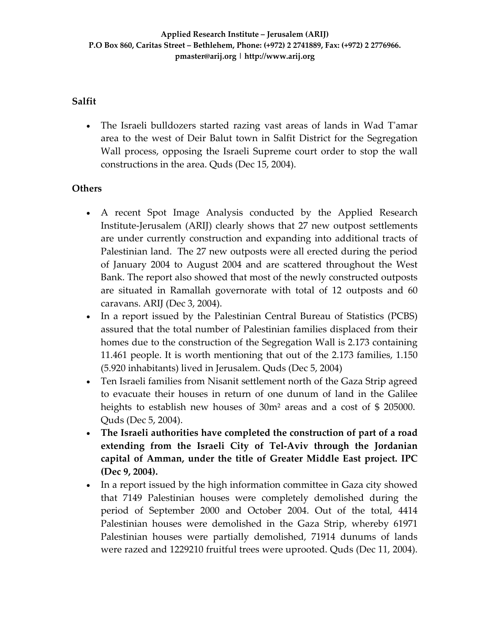### **Salfit**

• The Israeli bulldozers started razing vast areas of lands in Wad T'amar area to the west of Deir Balut town in Salfit District for the Segregation Wall process, opposing the Israeli Supreme court order to stop the wall constructions in the area. Quds (Dec 15, 2004).

### **Others**

- A recent Spot Image Analysis conducted by the Applied Research Institute‐Jerusalem (ARIJ) clearly shows that 27 new outpost settlements are under currently construction and expanding into additional tracts of Palestinian land. The 27 new outposts were all erected during the period of January 2004 to August 2004 and are scattered throughout the West Bank. The report also showed that most of the newly constructed outposts are situated in Ramallah governorate with total of 12 outposts and 60 caravans. ARIJ (Dec 3, 2004).
- In a report issued by the Palestinian Central Bureau of Statistics (PCBS) assured that the total number of Palestinian families displaced from their homes due to the construction of the Segregation Wall is 2.173 containing 11.461 people. It is worth mentioning that out of the 2.173 families, 1.150 (5.920 inhabitants) lived in Jerusalem. Quds (Dec 5, 2004)
- Ten Israeli families from Nisanit settlement north of the Gaza Strip agreed to evacuate their houses in return of one dunum of land in the Galilee heights to establish new houses of 30m<sup>2</sup> areas and a cost of \$ 205000. Quds (Dec 5, 2004).
- **The Israeli authorities have completed the construction of part of a road extending from the Israeli City of Tel‐Aviv through the Jordanian capital of Amman, under the title of Greater Middle East project. IPC (Dec 9, 2004).**
- In a report issued by the high information committee in Gaza city showed that 7149 Palestinian houses were completely demolished during the period of September 2000 and October 2004. Out of the total, 4414 Palestinian houses were demolished in the Gaza Strip, whereby 61971 Palestinian houses were partially demolished, 71914 dunums of lands were razed and 1229210 fruitful trees were uprooted. Quds (Dec 11, 2004).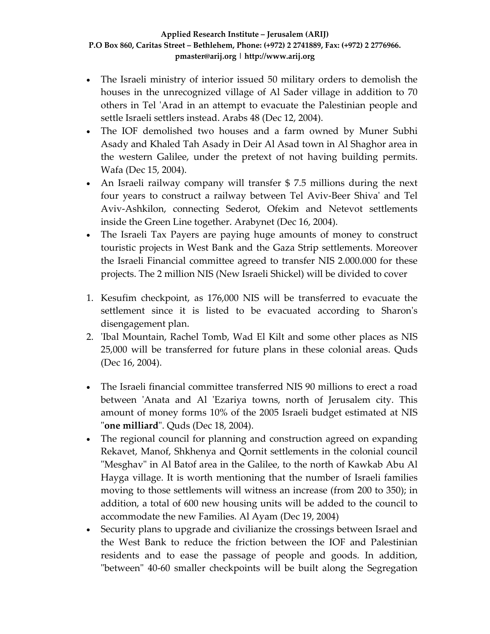- The Israeli ministry of interior issued 50 military orders to demolish the houses in the unrecognized village of Al Sader village in addition to 70 others in Tel 'Arad in an attempt to evacuate the Palestinian people and settle Israeli settlers instead. Arabs 48 (Dec 12, 2004).
- The IOF demolished two houses and a farm owned by Muner Subhi Asady and Khaled Tah Asady in Deir Al Asad town in Al Shaghor area in the western Galilee, under the pretext of not having building permits. Wafa (Dec 15, 2004).
- An Israeli railway company will transfer \$7.5 millions during the next four years to construct a railway between Tel Aviv‐Beer Shivaʹ and Tel Aviv‐Ashkilon, connecting Sederot, Ofekim and Netevot settlements inside the Green Line together. Arabynet (Dec 16, 2004).
- The Israeli Tax Payers are paying huge amounts of money to construct touristic projects in West Bank and the Gaza Strip settlements. Moreover the Israeli Financial committee agreed to transfer NIS 2.000.000 for these projects. The 2 million NIS (New Israeli Shickel) will be divided to cover
- 1. Kesufim checkpoint, as 176,000 NIS will be transferred to evacuate the settlement since it is listed to be evacuated according to Sharon's disengagement plan.
- 2. 'Ibal Mountain, Rachel Tomb, Wad El Kilt and some other places as NIS 25,000 will be transferred for future plans in these colonial areas. Quds (Dec 16, 2004).
- The Israeli financial committee transferred NIS 90 millions to erect a road between 'Anata and Al 'Ezariya towns, north of Jerusalem city. This amount of money forms 10% of the 2005 Israeli budget estimated at NIS ʺ**one milliard**ʺ. Quds (Dec 18, 2004).
- The regional council for planning and construction agreed on expanding Rekavet, Manof, Shkhenya and Qornit settlements in the colonial council "Mesghav" in Al Batof area in the Galilee, to the north of Kawkab Abu Al Hayga village. It is worth mentioning that the number of Israeli families moving to those settlements will witness an increase (from 200 to 350); in addition, a total of 600 new housing units will be added to the council to accommodate the new Families. Al Ayam (Dec 19, 2004)
- Security plans to upgrade and civilianize the crossings between Israel and the West Bank to reduce the friction between the IOF and Palestinian residents and to ease the passage of people and goods. In addition, "between" 40-60 smaller checkpoints will be built along the Segregation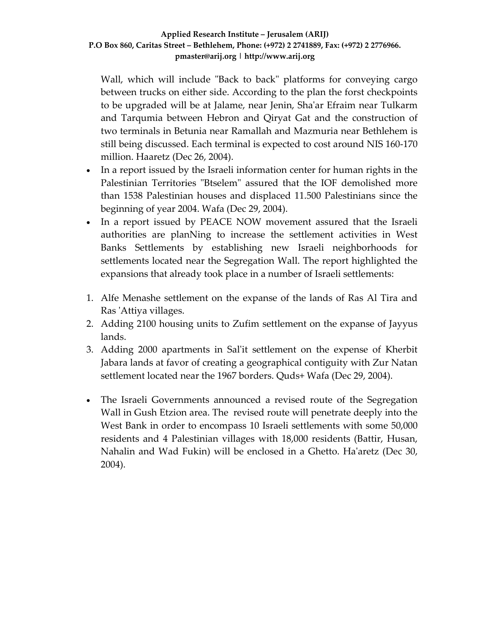Wall, which will include "Back to back" platforms for conveying cargo between trucks on either side. According to the plan the forst checkpoints to be upgraded will be at Jalame, near Jenin, Shaʹar Efraim near Tulkarm and Tarqumia between Hebron and Qiryat Gat and the construction of two terminals in Betunia near Ramallah and Mazmuria near Bethlehem is still being discussed. Each terminal is expected to cost around NIS 160‐170 million. Haaretz (Dec 26, 2004).

- In a report issued by the Israeli information center for human rights in the Palestinian Territories "Btselem" assured that the IOF demolished more than 1538 Palestinian houses and displaced 11.500 Palestinians since the beginning of year 2004. Wafa (Dec 29, 2004).
- In a report issued by PEACE NOW movement assured that the Israeli authorities are planNing to increase the settlement activities in West Banks Settlements by establishing new Israeli neighborhoods for settlements located near the Segregation Wall. The report highlighted the expansions that already took place in a number of Israeli settlements:
- 1. Alfe Menashe settlement on the expanse of the lands of Ras Al Tira and Ras ʹAttiya villages.
- 2. Adding 2100 housing units to Zufim settlement on the expanse of Jayyus lands.
- 3. Adding 2000 apartments in Salʹit settlement on the expense of Kherbit Jabara lands at favor of creating a geographical contiguity with Zur Natan settlement located near the 1967 borders. Quds+ Wafa (Dec 29, 2004).
- The Israeli Governments announced a revised route of the Segregation Wall in Gush Etzion area. The revised route will penetrate deeply into the West Bank in order to encompass 10 Israeli settlements with some 50,000 residents and 4 Palestinian villages with 18,000 residents (Battir, Husan, Nahalin and Wad Fukin) will be enclosed in a Ghetto. Ha'aretz (Dec 30, 2004).